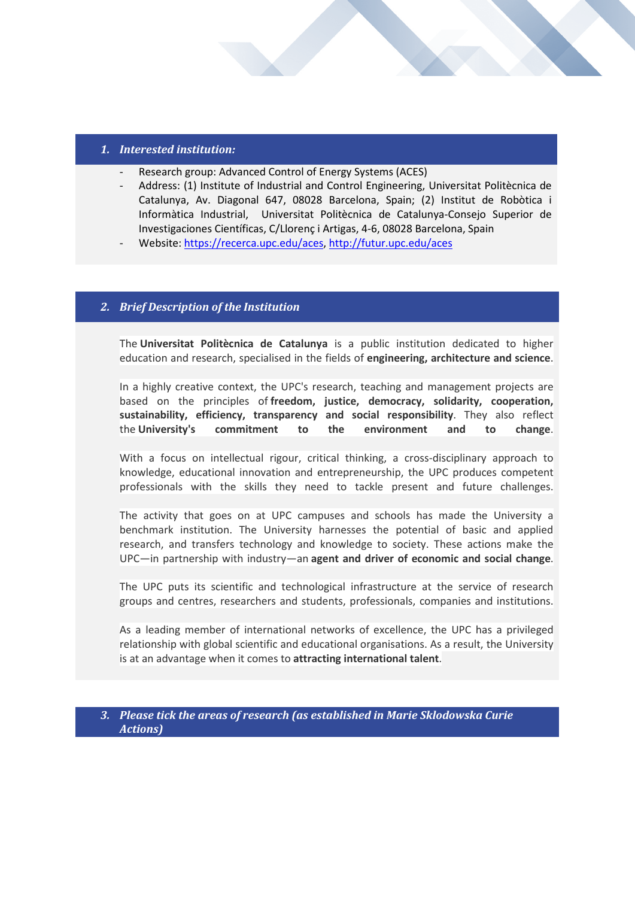### *1. Interested institution:*

- Research group: Advanced Control of Energy Systems (ACES)
- Address: (1) Institute of Industrial and Control Engineering, Universitat Politècnica de Catalunya, Av. Diagonal 647, 08028 Barcelona, Spain; (2) Institut de Robòtica i Informàtica Industrial, Universitat Politècnica de Catalunya-Consejo Superior de Investigaciones Científicas, C/Llorenç i Artigas, 4-6, 08028 Barcelona, Spain
- Website[: https://recerca.upc.edu/aces,](https://recerca.upc.edu/aces)<http://futur.upc.edu/aces>

### *2. Brief Description of the Institution*

**"EXPRESSION OF INTEREST" FOR HOSTING MARIE S. CURIE** 

The **Universitat Politècnica de Catalunya** is a public institution dedicated to higher education and research, specialised in the fields of **engineering, architecture and science**.

In a highly creative context, the UPC's research, teaching and management projects are based on the principles of **freedom, justice, democracy, solidarity, cooperation, sustainability, efficiency, transparency and social responsibility**. They also reflect the **University's commitment to the environment and to change**.

With a focus on intellectual rigour, critical thinking, a cross-disciplinary approach to knowledge, educational innovation and entrepreneurship, the UPC produces competent professionals with the skills they need to tackle present and future challenges.

The activity that goes on at UPC campuses and schools has made the University a benchmark institution. The University harnesses the potential of basic and applied research, and transfers technology and knowledge to society. These actions make the UPC—in partnership with industry—an **agent and driver of economic and social change**.

The UPC puts its scientific and technological infrastructure at the service of research groups and centres, researchers and students, professionals, companies and institutions.

As a leading member of international networks of excellence, the UPC has a privileged relationship with global scientific and educational organisations. As a result, the University is at an advantage when it comes to **attracting international talent**.

#### *3. Please tick the areas of research (as established in Marie Sklodowska Curie Actions)*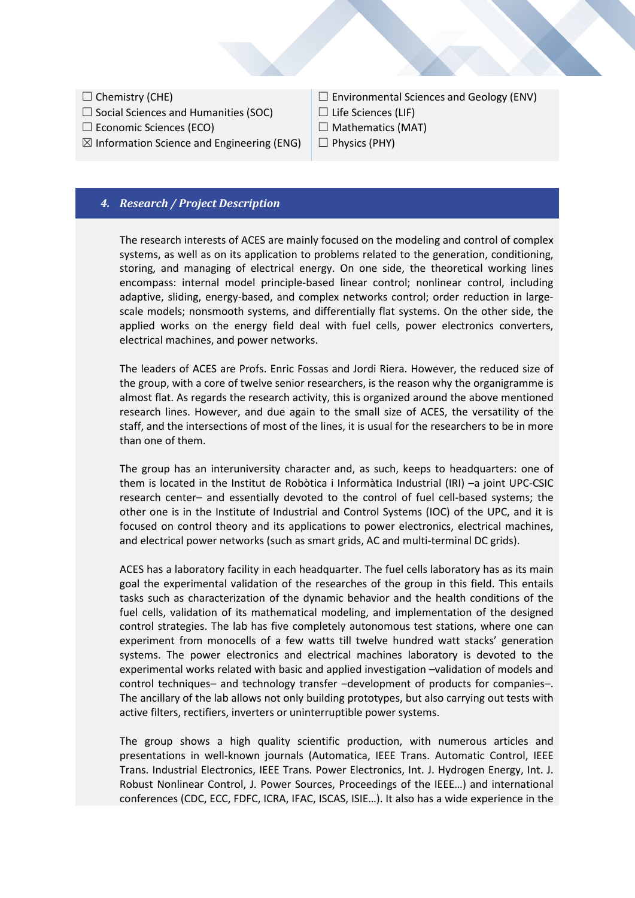- $\Box$  Chemistry (CHE)
- $\Box$  Social Sciences and Humanities (SOC)
- $\Box$  Economic Sciences (ECO)
- $\boxtimes$  Information Science and Engineering (ENG)

**"EXPRESSION OF INTEREST" FOR HOSTING MARIE S. CURIE** 

 $\Box$  Environmental Sciences and Geology (ENV)

- $\Box$  Life Sciences (LIF)
- $\Box$  Mathematics (MAT)
- $\Box$  Physics (PHY)

### *4. Research / Project Description*

The research interests of ACES are mainly focused on the modeling and control of complex systems, as well as on its application to problems related to the generation, conditioning, storing, and managing of electrical energy. On one side, the theoretical working lines encompass: internal model principle-based linear control; nonlinear control, including adaptive, sliding, energy-based, and complex networks control; order reduction in largescale models; nonsmooth systems, and differentially flat systems. On the other side, the applied works on the energy field deal with fuel cells, power electronics converters, electrical machines, and power networks.

The leaders of ACES are Profs. Enric Fossas and Jordi Riera. However, the reduced size of the group, with a core of twelve senior researchers, is the reason why the organigramme is almost flat. As regards the research activity, this is organized around the above mentioned research lines. However, and due again to the small size of ACES, the versatility of the staff, and the intersections of most of the lines, it is usual for the researchers to be in more than one of them.

The group has an interuniversity character and, as such, keeps to headquarters: one of them is located in the Institut de Robòtica i Informàtica Industrial (IRI) –a joint UPC-CSIC research center– and essentially devoted to the control of fuel cell-based systems; the other one is in the Institute of Industrial and Control Systems (IOC) of the UPC, and it is focused on control theory and its applications to power electronics, electrical machines, and electrical power networks (such as smart grids, AC and multi-terminal DC grids).

ACES has a laboratory facility in each headquarter. The fuel cells laboratory has as its main goal the experimental validation of the researches of the group in this field. This entails tasks such as characterization of the dynamic behavior and the health conditions of the fuel cells, validation of its mathematical modeling, and implementation of the designed control strategies. The lab has five completely autonomous test stations, where one can experiment from monocells of a few watts till twelve hundred watt stacks' generation systems. The power electronics and electrical machines laboratory is devoted to the experimental works related with basic and applied investigation –validation of models and control techniques– and technology transfer –development of products for companies–. The ancillary of the lab allows not only building prototypes, but also carrying out tests with active filters, rectifiers, inverters or uninterruptible power systems.

The group shows a high quality scientific production, with numerous articles and presentations in well-known journals (Automatica, IEEE Trans. Automatic Control, IEEE Trans. Industrial Electronics, IEEE Trans. Power Electronics, Int. J. Hydrogen Energy, Int. J. Robust Nonlinear Control, J. Power Sources, Proceedings of the IEEE…) and international conferences (CDC, ECC, FDFC, ICRA, IFAC, ISCAS, ISIE…). It also has a wide experience in the